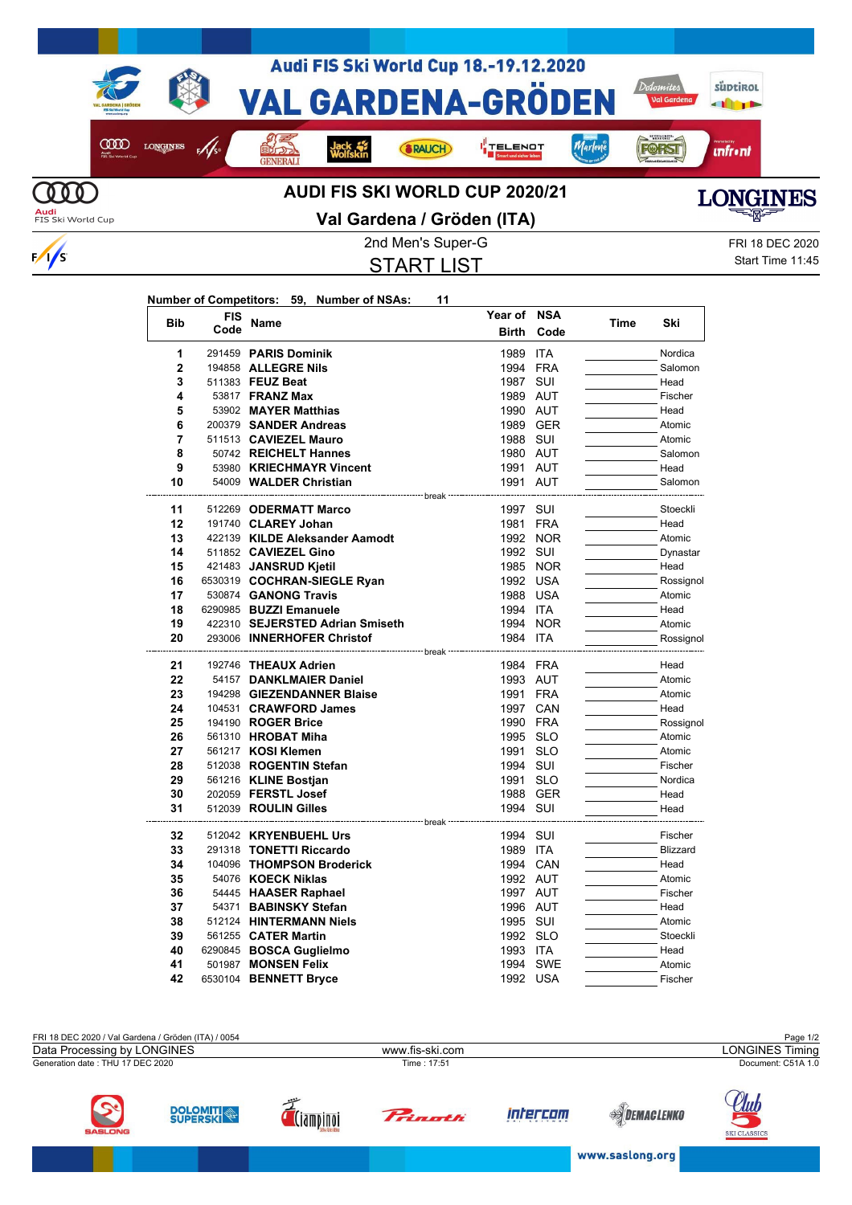

## **Val Gardena / Gröden (ITA)**

START LIST

2nd Men's Super-G FRI 18 DEC 2020 Start Time 11:45

## **Number of Competitors: 59, Number of NSAs: 11**

 $\frac{1}{s}$ 

| <b>Bib</b>     | <b>FIS</b> | Name                              | Year of      | <b>NSA</b> | Time | Ski             |
|----------------|------------|-----------------------------------|--------------|------------|------|-----------------|
|                | Code       |                                   | <b>Birth</b> | Code       |      |                 |
| 1              |            | 291459 PARIS Dominik              | 1989         | ITA        |      | Nordica         |
| $\overline{2}$ |            | 194858 ALLEGRE Nils               | 1994 FRA     |            |      | Salomon         |
| 3              |            | 511383 FEUZ Beat                  | 1987 SUI     |            |      | Head            |
| 4              |            | 53817 <b>FRANZ Max</b>            | 1989 AUT     |            |      | Fischer         |
| 5              |            | 53902 MAYER Matthias              | 1990 AUT     |            |      | Head            |
| 6              |            | 200379 SANDER Andreas             |              | 1989 GER   |      | Atomic          |
| 7              |            | 511513 CAVIEZEL Mauro             | 1988 SUI     |            |      | Atomic          |
| 8              |            | 50742 REICHELT Hannes             | 1980 AUT     |            |      | Salomon         |
| 9              |            | 53980 KRIECHMAYR Vincent          | 1991 AUT     |            |      | Head            |
| 10             |            | 54009 WALDER Christian            | 1991 AUT     |            |      | Salomon         |
|                |            | ------------------------ break    |              |            |      |                 |
| 11             |            | 512269 ODERMATT Marco             | 1997 SUI     |            |      | Stoeckli        |
| 12             |            | 191740 CLAREY Johan               | 1981 FRA     |            |      | Head            |
| 13             |            | 422139 KILDE Aleksander Aamodt    |              | 1992 NOR   |      | Atomic          |
| 14             |            | 511852 CAVIEZEL Gino              | 1992 SUI     |            |      | Dynastar        |
| 15             |            | 421483 JANSRUD Kjetil             |              | 1985 NOR   |      | Head            |
| 16             |            | 6530319 COCHRAN-SIEGLE Ryan       | 1992 USA     |            |      | Rossignol       |
| 17             |            | 530874 GANONG Travis              | 1988 USA     |            |      | Atomic          |
| 18             |            | 6290985 BUZZI Emanuele            | 1994 ITA     |            |      | Head            |
| 19             |            | 422310 SEJERSTED Adrian Smiseth   |              | 1994 NOR   |      | Atomic          |
| 20             |            | 293006 INNERHOFER Christof        | 1984 ITA     |            |      | Rossignol       |
| 21             |            | 192746 THEAUX Adrien              | 1984 FRA     |            |      | Head            |
| 22             |            | 54157 DANKLMAIER Daniel           | 1993 AUT     |            |      | Atomic          |
| 23             |            | 194298 GIEZENDANNER Blaise        | 1991 FRA     |            |      | Atomic          |
| 24             |            | 104531 CRAWFORD James             |              | 1997 CAN   |      | Head            |
| 25             |            | 194190 ROGER Brice                | 1990 FRA     |            |      | Rossignol       |
| 26             |            | 561310 HROBAT Miha                | 1995 SLO     |            |      | Atomic          |
| 27             |            | 561217 KOSI Klemen                | 1991 SLO     |            |      | Atomic          |
| 28             |            | 512038 ROGENTIN Stefan            | 1994 SUI     |            |      | Fischer         |
| 29             |            | 561216 KLINE Bostjan              | 1991         | <b>SLO</b> |      | Nordica         |
| 30             |            | 202059 FERSTL Josef               |              | 1988 GER   |      | Head            |
| 31             |            | 512039 ROULIN Gilles              | 1994 SUI     |            |      | Head            |
|                |            | --------------------------- break |              |            |      |                 |
| 32             |            | 512042 KRYENBUEHL Urs             | 1994 SUI     |            |      | Fischer         |
| 33             |            | 291318 TONETTI Riccardo           | 1989 ITA     |            |      | <b>Blizzard</b> |
| 34             |            | 104096 THOMPSON Broderick         |              | 1994 CAN   |      | Head            |
| 35             |            | 54076 KOECK Niklas                | 1992 AUT     |            |      | Atomic          |
| 36             |            | 54445 HAASER Raphael              | 1997 AUT     |            |      | Fischer         |
| 37             |            | 54371 BABINSKY Stefan             | 1996 AUT     |            |      | Head            |
| 38             |            | 512124 HINTERMANN Niels           | 1995 SUI     |            |      | Atomic          |
| 39             |            | 561255 CATER Martin               | 1992 SLO     |            |      | Stoeckli        |
| 40             |            | 6290845 BOSCA Guglielmo           | 1993 ITA     |            |      | Head            |
| 41             |            | 501987 MONSEN Felix               |              | 1994 SWE   |      | Atomic          |
| 42             |            | 6530104 BENNETT Bryce             | 1992 USA     |            |      | Fischer         |